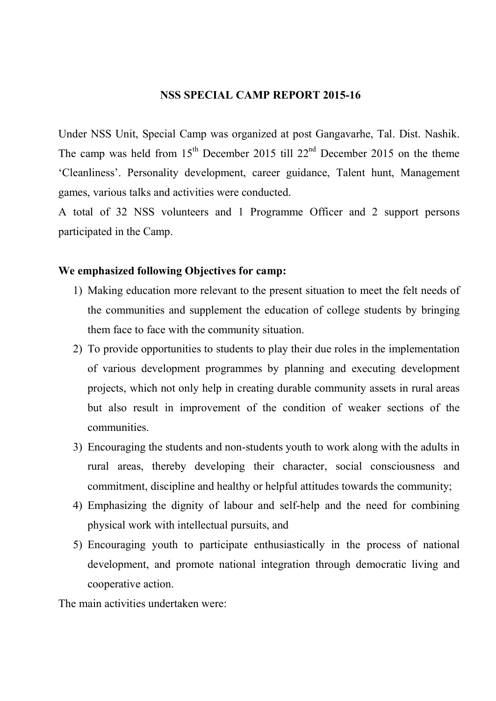### NSS SPECIAL CAMP REPORT 2015-16

Under NSS Unit, Special Camp was organized at post Gangavarhe, Tal. Dist. Nashik. The camp was held from  $15<sup>th</sup>$  December 2015 till 22<sup>nd</sup> December 2015 on the theme 'Cleanliness'. Personality development, career guidance, Talent hunt, Management games, various talks and activities were conducted.

A total of 32 NSS volunteers and 1 Programme Officer and 2 support persons participated in the Camp.

### We emphasized following Objectives for camp:

- 1) Making education more relevant to the present situation to meet the felt needs of the communities and supplement the education of college students by bringing them face to face with the community situation.
- 2) To provide opportunities to students to play their due roles in the implementation of various development programmes by planning and executing development projects, which not only help in creating durable community assets in rural areas but also result in improvement of the condition of weaker sections of the communities.
- 3) Encouraging the students and non-students youth to work along with the adults in rural areas, thereby developing their character, social consciousness and commitment, discipline and healthy or helpful attitudes towards the community;
- 4) Emphasizing the dignity of labour and self-help and the need for combining physical work with intellectual pursuits, and
- 5) Encouraging youth to participate enthusiastically in the process of national development, and promote national integration through democratic living and cooperative action.

The main activities undertaken were: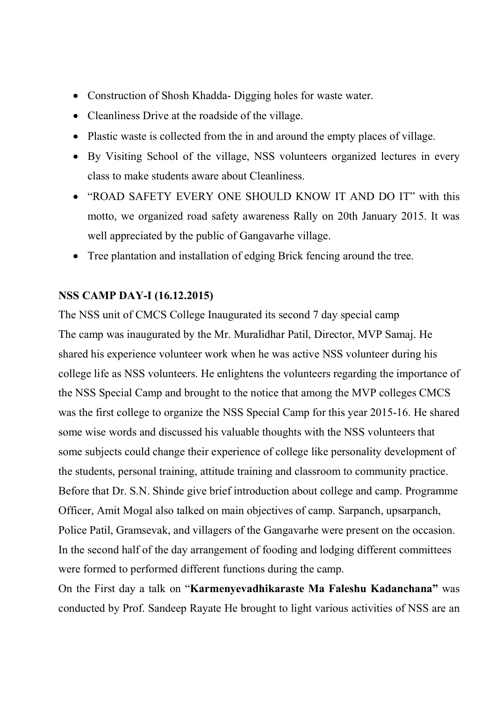- Construction of Shosh Khadda- Digging holes for waste water.
- Cleanliness Drive at the roadside of the village.
- Plastic waste is collected from the in and around the empty places of village.
- By Visiting School of the village, NSS volunteers organized lectures in every class to make students aware about Cleanliness.
- "ROAD SAFETY EVERY ONE SHOULD KNOW IT AND DO IT" with this motto, we organized road safety awareness Rally on 20th January 2015. It was well appreciated by the public of Gangavarhe village.
- Tree plantation and installation of edging Brick fencing around the tree.

# NSS CAMP DAY-I (16.12.2015)

The NSS unit of CMCS College Inaugurated its second 7 day special camp The camp was inaugurated by the Mr. Muralidhar Patil, Director, MVP Samaj. He shared his experience volunteer work when he was active NSS volunteer during his college life as NSS volunteers. He enlightens the volunteers regarding the importance of the NSS Special Camp and brought to the notice that among the MVP colleges CMCS was the first college to organize the NSS Special Camp for this year 2015-16. He shared some wise words and discussed his valuable thoughts with the NSS volunteers that some subjects could change their experience of college like personality development of the students, personal training, attitude training and classroom to community practice. Before that Dr. S.N. Shinde give brief introduction about college and camp. Programme Officer, Amit Mogal also talked on main objectives of camp. Sarpanch, upsarpanch, Police Patil, Gramsevak, and villagers of the Gangavarhe were present on the occasion. In the second half of the day arrangement of fooding and lodging different committees were formed to performed different functions during the camp.

On the First day a talk on "Karmenyevadhikaraste Ma Faleshu Kadanchana" was conducted by Prof. Sandeep Rayate He brought to light various activities of NSS are an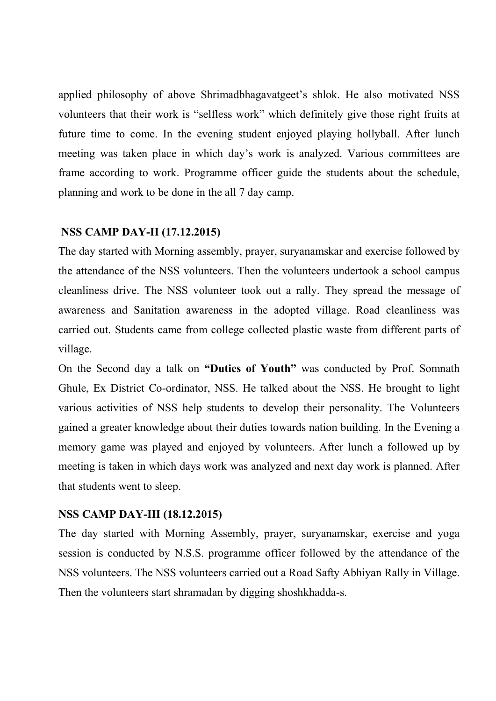applied philosophy of above Shrimadbhagavatgeet's shlok. He also motivated NSS volunteers that their work is "selfless work" which definitely give those right fruits at future time to come. In the evening student enjoyed playing hollyball. After lunch meeting was taken place in which day's work is analyzed. Various committees are frame according to work. Programme officer guide the students about the schedule, planning and work to be done in the all 7 day camp.

### NSS CAMP DAY-II (17.12.2015)

The day started with Morning assembly, prayer, suryanamskar and exercise followed by the attendance of the NSS volunteers. Then the volunteers undertook a school campus cleanliness drive. The NSS volunteer took out a rally. They spread the message of awareness and Sanitation awareness in the adopted village. Road cleanliness was carried out. Students came from college collected plastic waste from different parts of village.

On the Second day a talk on "Duties of Youth" was conducted by Prof. Somnath Ghule, Ex District Co-ordinator, NSS. He talked about the NSS. He brought to light various activities of NSS help students to develop their personality. The Volunteers gained a greater knowledge about their duties towards nation building. In the Evening a memory game was played and enjoyed by volunteers. After lunch a followed up by meeting is taken in which days work was analyzed and next day work is planned. After that students went to sleep.

# NSS CAMP DAY-III (18.12.2015)

The day started with Morning Assembly, prayer, suryanamskar, exercise and yoga session is conducted by N.S.S. programme officer followed by the attendance of the NSS volunteers. The NSS volunteers carried out a Road Safty Abhiyan Rally in Village. Then the volunteers start shramadan by digging shoshkhadda-s.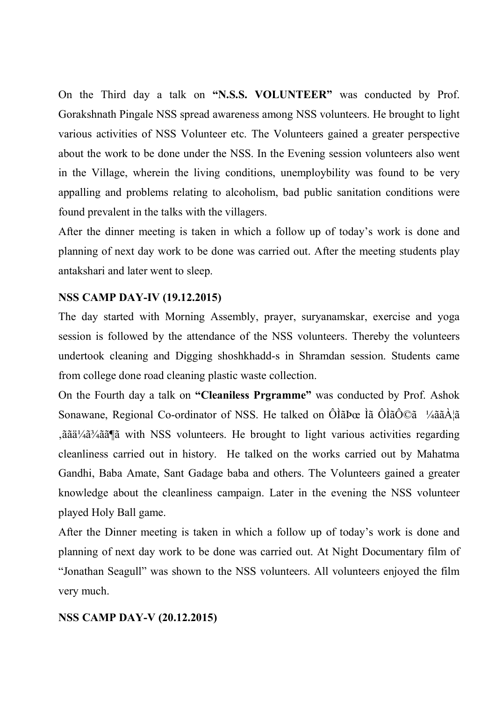On the Third day a talk on "N.S.S. VOLUNTEER" was conducted by Prof. Gorakshnath Pingale NSS spread awareness among NSS volunteers. He brought to light various activities of NSS Volunteer etc. The Volunteers gained a greater perspective about the work to be done under the NSS. In the Evening session volunteers also went in the Village, wherein the living conditions, unemploybility was found to be very appalling and problems relating to alcoholism, bad public sanitation conditions were found prevalent in the talks with the villagers.

After the dinner meeting is taken in which a follow up of today's work is done and planning of next day work to be done was carried out. After the meeting students play antakshari and later went to sleep.

# NSS CAMP DAY-IV (19.12.2015)

The day started with Morning Assembly, prayer, suryanamskar, exercise and yoga session is followed by the attendance of the NSS volunteers. Thereby the volunteers undertook cleaning and Digging shoshkhadd-s in Shramdan session. Students came from college done road cleaning plastic waste collection.

On the Fourth day a talk on "Cleaniless Prgramme" was conducted by Prof. Ashok Sonawane, Regional Co-ordinator of NSS. He talked on ÔÌãÞœ Ìã ÔÌãÔ©ã ¼ããÀ¦ã 'ããä¼ã¾ãã¶ã with NSS volunteers. He brought to light various activities regarding cleanliness carried out in history. He talked on the works carried out by Mahatma Gandhi, Baba Amate, Sant Gadage baba and others. The Volunteers gained a greater knowledge about the cleanliness campaign. Later in the evening the NSS volunteer played Holy Ball game.

After the Dinner meeting is taken in which a follow up of today's work is done and planning of next day work to be done was carried out. At Night Documentary film of "Jonathan Seagull" was shown to the NSS volunteers. All volunteers enjoyed the film very much.

### NSS CAMP DAY-V (20.12.2015)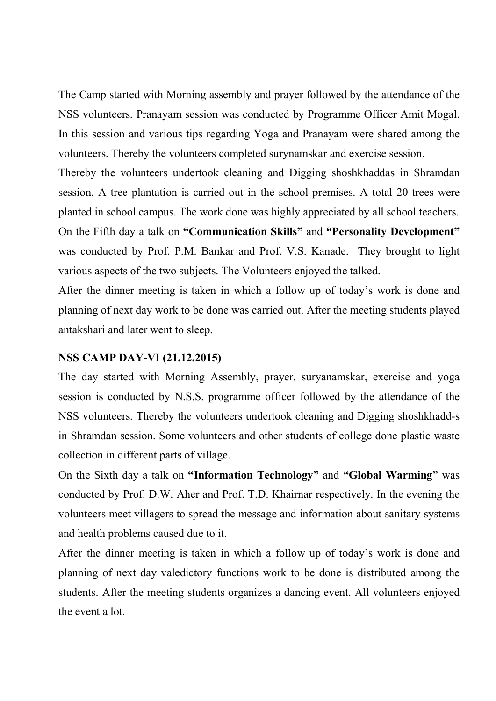The Camp started with Morning assembly and prayer followed by the attendance of the NSS volunteers. Pranayam session was conducted by Programme Officer Amit Mogal. In this session and various tips regarding Yoga and Pranayam were shared among the volunteers. Thereby the volunteers completed surynamskar and exercise session.

Thereby the volunteers undertook cleaning and Digging shoshkhaddas in Shramdan session. A tree plantation is carried out in the school premises. A total 20 trees were planted in school campus. The work done was highly appreciated by all school teachers. On the Fifth day a talk on "Communication Skills" and "Personality Development" was conducted by Prof. P.M. Bankar and Prof. V.S. Kanade. They brought to light various aspects of the two subjects. The Volunteers enjoyed the talked.

After the dinner meeting is taken in which a follow up of today's work is done and planning of next day work to be done was carried out. After the meeting students played antakshari and later went to sleep.

### NSS CAMP DAY-VI (21.12.2015)

The day started with Morning Assembly, prayer, suryanamskar, exercise and yoga session is conducted by N.S.S. programme officer followed by the attendance of the NSS volunteers. Thereby the volunteers undertook cleaning and Digging shoshkhadd-s in Shramdan session. Some volunteers and other students of college done plastic waste collection in different parts of village.

On the Sixth day a talk on "Information Technology" and "Global Warming" was conducted by Prof. D.W. Aher and Prof. T.D. Khairnar respectively. In the evening the volunteers meet villagers to spread the message and information about sanitary systems and health problems caused due to it.

After the dinner meeting is taken in which a follow up of today's work is done and planning of next day valedictory functions work to be done is distributed among the students. After the meeting students organizes a dancing event. All volunteers enjoyed the event a lot.